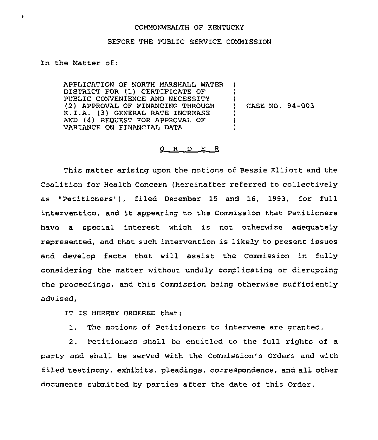## COMMONWEALTH OF KENTUCKY

## BEFORE THE PUBLIC SERVICE COMMISSION

In the Matter of:

 $\bullet$ 

APPLICATION OF NORTH MARSHALL WATER ) DISTRICT FOR (1) CERTIFICATE OF PUBLIC CONVENIENCE AND NECESSITY (2) APPROVAL OF FINANCZNG THROUGH K.I.A. (3) GENERAL RATE INCREASE AND (4) REQUEST FOR APPROVAL OF VARIANCE ON FINANCIAL DATA ) ) CASE NO. 94-003 ) ) )

## $O$  R D E R

This matter arising upon the motions of Bessie Elliott and the Coalition for Health Concern (hereinafter referred to collectively as "Petitioners"), filed December 15 and 16, 1993, for full intervention, and it appearing to the Commission that Petitioners have a special interest which is not otherwise adequately represented, and that such intervention is likely to present issues and develop facts that will assist the Commission in fully considering the matter without unduly complicating or disrupting the proceedings, and this Commission being otherwise sufficiently advised,

IT IS HEREBY ORDERED that:

1, The motions of Petitioners to intervene are granted.

2, Petitioners shall be entitled to the full rights of a party and shall be served with the Commission's Orders and with filed testimony, exhibits, pleadings, correspondence, and all other documents submitted by parties after the date of this Order.